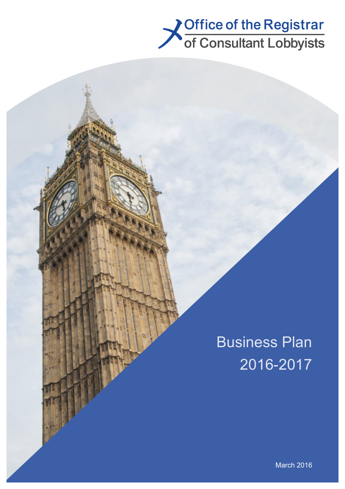

# Business Plan 2016-2017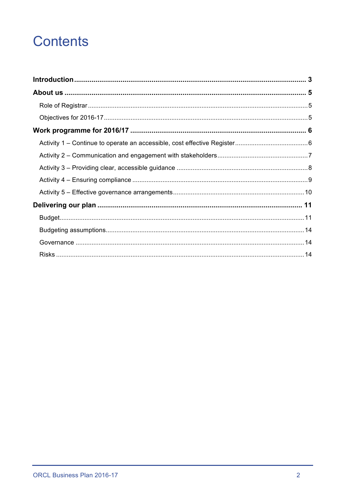## **Contents**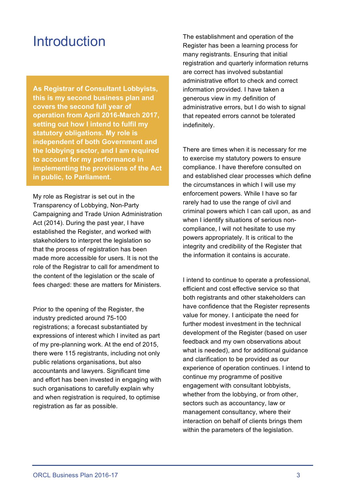### **Introduction**

**As Registrar of Consultant Lobbyists, this is my second business plan and covers the second full year of operation from April 2016-March 2017, setting out how I intend to fulfil my statutory obligations. My role is independent of both Government and the lobbying sector, and I am required to account for my performance in implementing the provisions of the Act in public, to Parliament.**

My role as Registrar is set out in the Transparency of Lobbying, Non-Party Campaigning and Trade Union Administration Act (2014). During the past year, I have established the Register, and worked with stakeholders to interpret the legislation so that the process of registration has been made more accessible for users. It is not the role of the Registrar to call for amendment to the content of the legislation or the scale of fees charged: these are matters for Ministers.

Prior to the opening of the Register, the industry predicted around 75-100 registrations; a forecast substantiated by expressions of interest which I invited as part of my pre-planning work. At the end of 2015, there were 115 registrants, including not only public relations organisations, but also accountants and lawyers. Significant time and effort has been invested in engaging with such organisations to carefully explain why and when registration is required, to optimise registration as far as possible.

The establishment and operation of the Register has been a learning process for many registrants. Ensuring that initial registration and quarterly information returns are correct has involved substantial administrative effort to check and correct information provided. I have taken a generous view in my definition of administrative errors, but I do wish to signal that repeated errors cannot be tolerated indefinitely.

There are times when it is necessary for me to exercise my statutory powers to ensure compliance. I have therefore consulted on and established clear processes which define the circumstances in which I will use my enforcement powers. While I have so far rarely had to use the range of civil and criminal powers which I can call upon, as and when I identify situations of serious noncompliance, I will not hesitate to use my powers appropriately. It is critical to the integrity and credibility of the Register that the information it contains is accurate.

I intend to continue to operate a professional, efficient and cost effective service so that both registrants and other stakeholders can have confidence that the Register represents value for money. I anticipate the need for further modest investment in the technical development of the Register (based on user feedback and my own observations about what is needed), and for additional guidance and clarification to be provided as our experience of operation continues. I intend to continue my programme of positive engagement with consultant lobbyists, whether from the lobbying, or from other, sectors such as accountancy, law or management consultancy, where their interaction on behalf of clients brings them within the parameters of the legislation.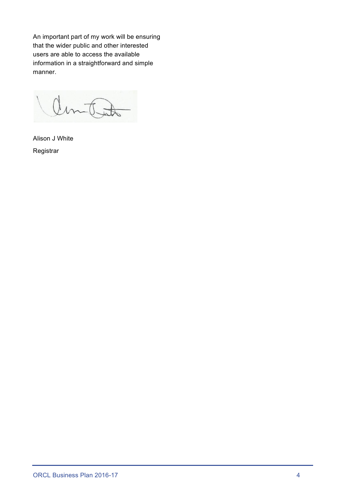An important part of my work will be ensuring that the wider public and other interested users are able to access the available information in a straightforward and simple manner.

amtat

Alison J White Registrar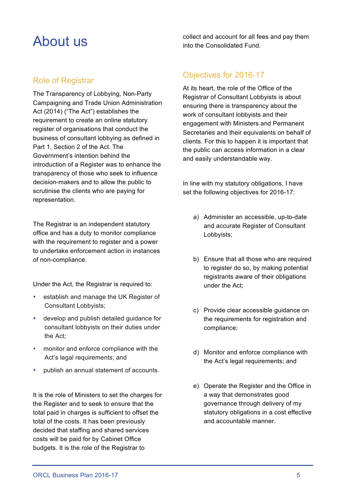### About us

#### Role of Registrar

The Transparency of Lobbying, Non-Party Campaigning and Trade Union Administration Act (2014) ("The Act") establishes the requirement to create an online statutory register of organisations that conduct the business of consultant lobbying as defined in Part 1, Section 2 of the Act. The Government's intention behind the introduction of a Register was to enhance the transparency of those who seek to influence decision-makers and to allow the public to scrutinise the clients who are paying for representation.

The Registrar is an independent statutory office and has a duty to monitor compliance with the requirement to register and a power to undertake enforcement action in instances of non-compliance.

Under the Act, the Registrar is required to:

- establish and manage the UK Register of Consultant Lobbyists;
- develop and publish detailed guidance for consultant lobbyists on their duties under the Act;
- monitor and enforce compliance with the Act's legal requirements; and
- publish an annual statement of accounts.

It is the role of Ministers to set the charges for the Register and to seek to ensure that the total paid in charges is sufficient to offset the total of the costs. It has been previously decided that staffing and shared services costs will be paid for by Cabinet Office budgets. It is the role of the Registrar to

collect and account for all fees and pay them into the Consolidated Fund.

#### Objectives for 2016-17

At its heart, the role of the Office of the Registrar of Consultant Lobbyists is about ensuring there is transparency about the work of consultant lobbyists and their engagement with Ministers and Permanent Secretaries and their equivalents on behalf of clients. For this to happen it is important that the public can access information in a clear and easily understandable way.

In line with my statutory obligations, I have set the following objectives for 2016-17:

- a) Administer an accessible, up-to-date and accurate Register of Consultant Lobbyists;
- b) Ensure that all those who are required to register do so, by making potential registrants aware of their obligations under the Act;
- c) Provide clear accessible guidance on the requirements for registration and compliance;
- d) Monitor and enforce compliance with the Act's legal requirements; and
- e) Operate the Register and the Office in a way that demonstrates good governance through delivery of my statutory obligations in a cost effective and accountable manner.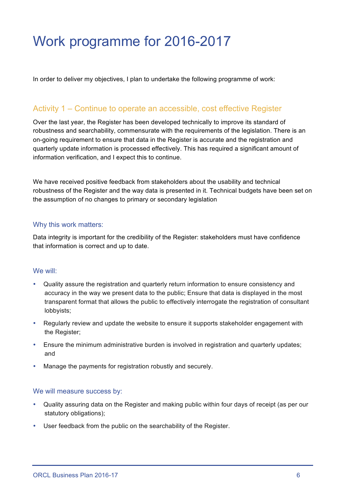## Work programme for 2016-2017

In order to deliver my objectives, I plan to undertake the following programme of work:

#### Activity 1 – Continue to operate an accessible, cost effective Register

Over the last year, the Register has been developed technically to improve its standard of robustness and searchability, commensurate with the requirements of the legislation. There is an on-going requirement to ensure that data in the Register is accurate and the registration and quarterly update information is processed effectively. This has required a significant amount of information verification, and I expect this to continue.

We have received positive feedback from stakeholders about the usability and technical robustness of the Register and the way data is presented in it. Technical budgets have been set on the assumption of no changes to primary or secondary legislation

#### Why this work matters:

Data integrity is important for the credibility of the Register: stakeholders must have confidence that information is correct and up to date.

#### We will:

- Quality assure the registration and quarterly return information to ensure consistency and accuracy in the way we present data to the public; Ensure that data is displayed in the most transparent format that allows the public to effectively interrogate the registration of consultant lobbyists;
- Regularly review and update the website to ensure it supports stakeholder engagement with the Register;
- Ensure the minimum administrative burden is involved in registration and quarterly updates; and
- Manage the payments for registration robustly and securely.

- Quality assuring data on the Register and making public within four days of receipt (as per our statutory obligations);
- User feedback from the public on the searchability of the Register.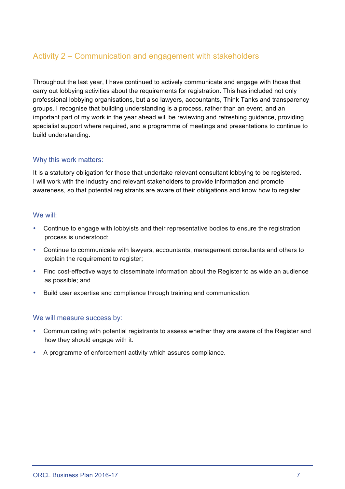#### Activity 2 – Communication and engagement with stakeholders

Throughout the last year, I have continued to actively communicate and engage with those that carry out lobbying activities about the requirements for registration. This has included not only professional lobbying organisations, but also lawyers, accountants, Think Tanks and transparency groups. I recognise that building understanding is a process, rather than an event, and an important part of my work in the year ahead will be reviewing and refreshing guidance, providing specialist support where required, and a programme of meetings and presentations to continue to build understanding.

#### Why this work matters:

It is a statutory obligation for those that undertake relevant consultant lobbying to be registered. I will work with the industry and relevant stakeholders to provide information and promote awareness, so that potential registrants are aware of their obligations and know how to register.

#### We will:

- Continue to engage with lobbyists and their representative bodies to ensure the registration process is understood;
- Continue to communicate with lawyers, accountants, management consultants and others to explain the requirement to register:
- Find cost-effective ways to disseminate information about the Register to as wide an audience as possible; and
- Build user expertise and compliance through training and communication.

- Communicating with potential registrants to assess whether they are aware of the Register and how they should engage with it.
- A programme of enforcement activity which assures compliance.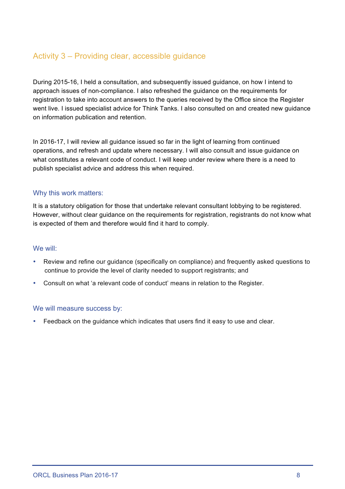#### Activity 3 – Providing clear, accessible guidance

During 2015-16, I held a consultation, and subsequently issued guidance, on how I intend to approach issues of non-compliance. I also refreshed the guidance on the requirements for registration to take into account answers to the queries received by the Office since the Register went live. I issued specialist advice for Think Tanks. I also consulted on and created new guidance on information publication and retention.

In 2016-17, I will review all guidance issued so far in the light of learning from continued operations, and refresh and update where necessary. I will also consult and issue guidance on what constitutes a relevant code of conduct. I will keep under review where there is a need to publish specialist advice and address this when required.

#### Why this work matters:

It is a statutory obligation for those that undertake relevant consultant lobbying to be registered. However, without clear guidance on the requirements for registration, registrants do not know what is expected of them and therefore would find it hard to comply.

#### We will:

- Review and refine our guidance (specifically on compliance) and frequently asked questions to continue to provide the level of clarity needed to support registrants; and
- Consult on what 'a relevant code of conduct' means in relation to the Register.

#### We will measure success by:

• Feedback on the guidance which indicates that users find it easy to use and clear.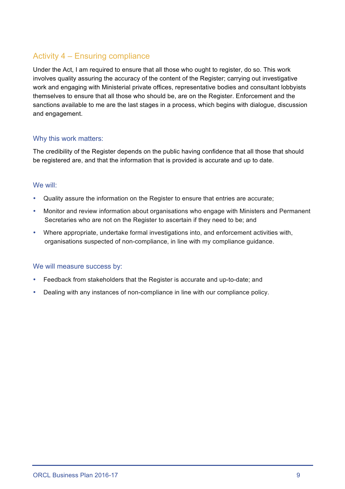#### Activity 4 – Ensuring compliance

Under the Act, I am required to ensure that all those who ought to register, do so. This work involves quality assuring the accuracy of the content of the Register; carrying out investigative work and engaging with Ministerial private offices, representative bodies and consultant lobbyists themselves to ensure that all those who should be, are on the Register. Enforcement and the sanctions available to me are the last stages in a process, which begins with dialogue, discussion and engagement.

#### Why this work matters:

The credibility of the Register depends on the public having confidence that all those that should be registered are, and that the information that is provided is accurate and up to date.

#### We will:

- Quality assure the information on the Register to ensure that entries are accurate;
- Monitor and review information about organisations who engage with Ministers and Permanent Secretaries who are not on the Register to ascertain if they need to be; and
- Where appropriate, undertake formal investigations into, and enforcement activities with, organisations suspected of non-compliance, in line with my compliance guidance.

- Feedback from stakeholders that the Register is accurate and up-to-date; and
- Dealing with any instances of non-compliance in line with our compliance policy.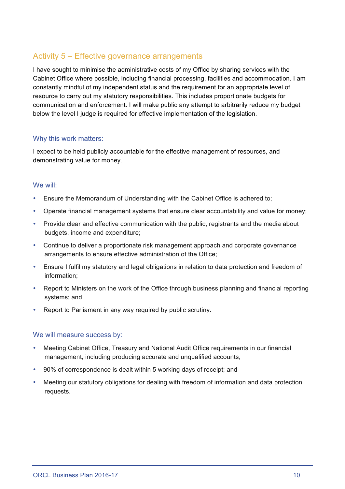#### Activity 5 – Effective governance arrangements

I have sought to minimise the administrative costs of my Office by sharing services with the Cabinet Office where possible, including financial processing, facilities and accommodation. I am constantly mindful of my independent status and the requirement for an appropriate level of resource to carry out my statutory responsibilities. This includes proportionate budgets for communication and enforcement. I will make public any attempt to arbitrarily reduce my budget below the level I judge is required for effective implementation of the legislation.

#### Why this work matters:

I expect to be held publicly accountable for the effective management of resources, and demonstrating value for money.

#### We will:

- Ensure the Memorandum of Understanding with the Cabinet Office is adhered to;
- Operate financial management systems that ensure clear accountability and value for money;
- Provide clear and effective communication with the public, registrants and the media about budgets, income and expenditure;
- Continue to deliver a proportionate risk management approach and corporate governance arrangements to ensure effective administration of the Office;
- Ensure I fulfil my statutory and legal obligations in relation to data protection and freedom of information;
- Report to Ministers on the work of the Office through business planning and financial reporting systems; and
- Report to Parliament in any way required by public scrutiny.

- Meeting Cabinet Office, Treasury and National Audit Office requirements in our financial management, including producing accurate and unqualified accounts;
- 90% of correspondence is dealt within 5 working days of receipt; and
- Meeting our statutory obligations for dealing with freedom of information and data protection requests.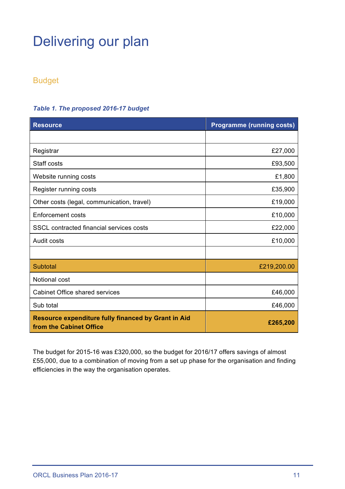## Delivering our plan

#### Budget

### **Resource Programme (running costs)** Registrar  $\overline{27,000}$ Staff costs **E93,500** Website running costs **E1,800** Register running costs **E35,900** Other costs (legal, communication, travel) example the state of the state of the state of the state of the state of the state of the state of the state of the state of the state of the state of the state of the state of th Enforcement costs **Enforcement** costs **E10,000** SSCL contracted financial services costs **E22,000** Audit costs **Example 2018** 2019 12:30 No. 2019 12:30 No. 2019 12:30 No. 2019 12:30 No. 2019 12:30 No. 2019 12:30 Subtotal £219,200.00 Notional cost Cabinet Office shared services **E46,000 E46,000** Sub total  $\overline{246,000}$ **Resource expenditure fully financed by Grant in Aid from the Cabinet Office and The Cabinet Office 200 £265,200**

#### *Table 1. The proposed 2016-17 budget*

The budget for 2015-16 was £320,000, so the budget for 2016/17 offers savings of almost £55,000, due to a combination of moving from a set up phase for the organisation and finding efficiencies in the way the organisation operates.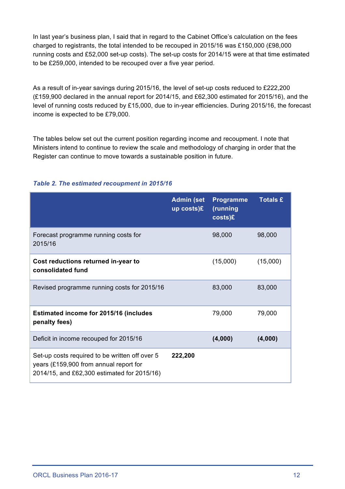In last year's business plan, I said that in regard to the Cabinet Office's calculation on the fees charged to registrants, the total intended to be recouped in 2015/16 was £150,000 (£98,000 running costs and £52,000 set-up costs). The set-up costs for 2014/15 were at that time estimated to be £259,000, intended to be recouped over a five year period.

As a result of in-year savings during 2015/16, the level of set-up costs reduced to £222,200 (£159,900 declared in the annual report for 2014/15, and £62,300 estimated for 2015/16), and the level of running costs reduced by £15,000, due to in-year efficiencies. During 2015/16, the forecast income is expected to be £79,000.

The tables below set out the current position regarding income and recoupment. I note that Ministers intend to continue to review the scale and methodology of charging in order that the Register can continue to move towards a sustainable position in future.

|                                                                                                                                         | <b>Admin (set</b><br>up costs)£ | <b>Programme</b><br>(running<br>costs)£ | <b>Totals £</b> |
|-----------------------------------------------------------------------------------------------------------------------------------------|---------------------------------|-----------------------------------------|-----------------|
| Forecast programme running costs for<br>2015/16                                                                                         |                                 | 98,000                                  | 98,000          |
| Cost reductions returned in-year to<br>consolidated fund                                                                                |                                 | (15,000)                                | (15,000)        |
| Revised programme running costs for 2015/16                                                                                             |                                 | 83,000                                  | 83,000          |
| <b>Estimated income for 2015/16 (includes</b><br>penalty fees)                                                                          |                                 | 79,000                                  | 79,000          |
| Deficit in income recouped for 2015/16                                                                                                  |                                 | (4,000)                                 | (4,000)         |
| Set-up costs required to be written off over 5<br>years (£159,900 from annual report for<br>2014/15, and £62,300 estimated for 2015/16) | 222,200                         |                                         |                 |

#### *Table 2. The estimated recoupment in 2015/16*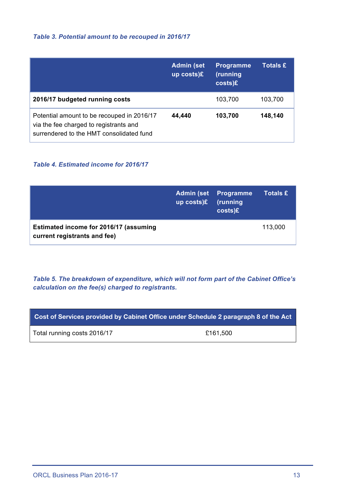#### *Table 3. Potential amount to be recouped in 2016/17*

|                                                                                                                                  | <b>Admin (set</b><br>up costs)£ | <b>Programme</b><br>(running<br>costs)E | <b>Totals £</b> |
|----------------------------------------------------------------------------------------------------------------------------------|---------------------------------|-----------------------------------------|-----------------|
| 2016/17 budgeted running costs                                                                                                   |                                 | 103,700                                 | 103,700         |
| Potential amount to be recouped in 2016/17<br>via the fee charged to registrants and<br>surrendered to the HMT consolidated fund | 44,440                          | 103,700                                 | 148,140         |

#### *Table 4. Estimated income for 2016/17*

|                                                                        | up $costs$ )£ | <b>Admin (set Programme)</b><br>(running<br>$costs$ )£ | <b>Totals £</b> |
|------------------------------------------------------------------------|---------------|--------------------------------------------------------|-----------------|
| Estimated income for 2016/17 (assuming<br>current registrants and fee) |               |                                                        | 113,000         |

*Table 5. The breakdown of expenditure, which will not form part of the Cabinet Office's calculation on the fee(s) charged to registrants.*

| Cost of Services provided by Cabinet Office under Schedule 2 paragraph 8 of the Act |          |  |
|-------------------------------------------------------------------------------------|----------|--|
| Total running costs 2016/17                                                         | £161.500 |  |